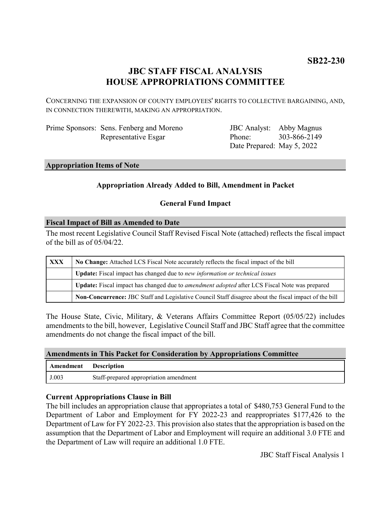# **JBC STAFF FISCAL ANALYSIS HOUSE APPROPRIATIONS COMMITTEE**

CONCERNING THE EXPANSION OF COUNTY EMPLOYEES' RIGHTS TO COLLECTIVE BARGAINING, AND, IN CONNECTION THEREWITH, MAKING AN APPROPRIATION.

| Prime Sponsors: Sens. Fenberg and Moreno |
|------------------------------------------|
| Representative Esgar                     |

JBC Analyst: Abby Magnus Phone: Date Prepared: May 5, 2022 303-866-2149

#### **Appropriation Items of Note**

## **Appropriation Already Added to Bill, Amendment in Packet**

### **General Fund Impact**

#### **Fiscal Impact of Bill as Amended to Date**

The most recent Legislative Council Staff Revised Fiscal Note (attached) reflects the fiscal impact of the bill as of 05/04/22.

| <b>XXX</b> | No Change: Attached LCS Fiscal Note accurately reflects the fiscal impact of the bill                       |  |
|------------|-------------------------------------------------------------------------------------------------------------|--|
|            | Update: Fiscal impact has changed due to new information or technical issues                                |  |
|            | <b>Update:</b> Fiscal impact has changed due to <i>amendment adopted</i> after LCS Fiscal Note was prepared |  |
|            | Non-Concurrence: JBC Staff and Legislative Council Staff disagree about the fiscal impact of the bill       |  |

The House State, Civic, Military, & Veterans Affairs Committee Report (05/05/22) includes amendments to the bill, however, Legislative Council Staff and JBC Staff agree that the committee amendments do not change the fiscal impact of the bill.

#### **Amendments in This Packet for Consideration by Appropriations Committee**

| Amendment | <b>Description</b>                     |
|-----------|----------------------------------------|
| J.003     | Staff-prepared appropriation amendment |

### **Current Appropriations Clause in Bill**

The bill includes an appropriation clause that appropriates a total of \$480,753 General Fund to the Department of Labor and Employment for FY 2022-23 and reappropriates \$177,426 to the Department of Law for FY 2022-23. This provision also states that the appropriation is based on the assumption that the Department of Labor and Employment will require an additional 3.0 FTE and the Department of Law will require an additional 1.0 FTE.